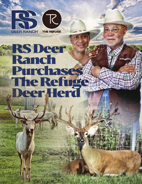

## RSDeer Ranch **Purchases** DeerHerd